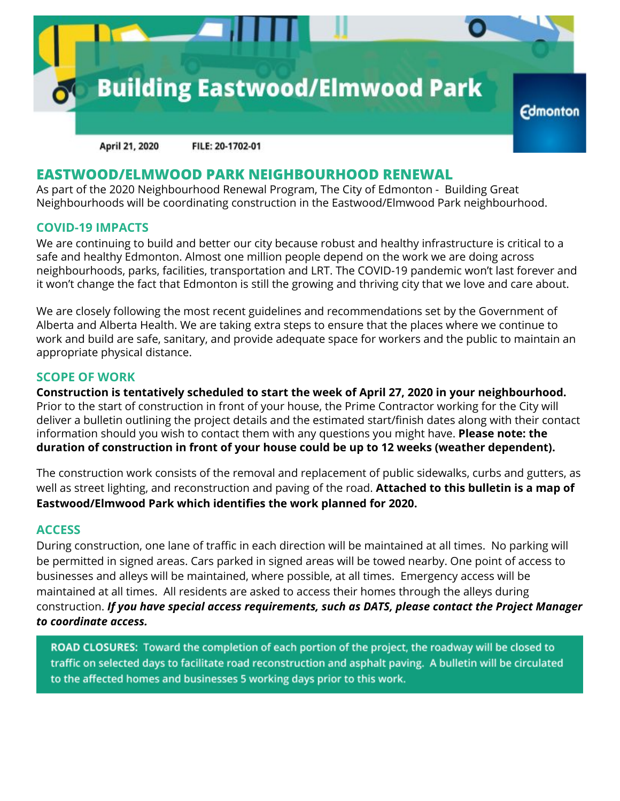

April 21, 2020 FILE: 20-1702-01

### **EASTWOOD/ELMWOOD PARK NEIGHBOURHOOD RENEWAL**

As part of the 2020 Neighbourhood Renewal Program, The City of Edmonton - Building Great Neighbourhoods will be coordinating construction in the Eastwood/Elmwood Park neighbourhood.

#### **COVID-19 IMPACTS**

We are continuing to build and better our city because robust and healthy infrastructure is critical to a safe and healthy Edmonton. Almost one million people depend on the work we are doing across neighbourhoods, parks, facilities, transportation and LRT. The COVID-19 pandemic won't last forever and it won't change the fact that Edmonton is still the growing and thriving city that we love and care about.

We are closely following the most recent guidelines and recommendations set by the Government of Alberta and Alberta Health. We are taking extra steps to ensure that the places where we continue to work and build are safe, sanitary, and provide adequate space for workers and the public to maintain an appropriate physical distance.

#### **SCOPE OF WORK**

**Construction is tentatively scheduled to start the week of April 27, 2020 in your neighbourhood.** Prior to the start of construction in front of your house, the Prime Contractor working for the City will deliver a bulletin outlining the project details and the estimated start/finish dates along with their contact information should you wish to contact them with any questions you might have. **Please note: the duration of construction in front of your house could be up to 12 weeks (weather dependent).**

The construction work consists of the removal and replacement of public sidewalks, curbs and gutters, as well as street lighting, and reconstruction and paving of the road. **Attached to this bulletin is a map of Eastwood/Elmwood Park which identifies the work planned for 2020.**

### **ACCESS**

During construction, one lane of traffic in each direction will be maintained at all times. No parking will be permitted in signed areas. Cars parked in signed areas will be towed nearby. One point of access to businesses and alleys will be maintained, where possible, at all times. Emergency access will be maintained at all times. All residents are asked to access their homes through the alleys during construction. *If you have special access requirements, such as DATS, please contact the Project Manager to coordinate access.*

ROAD CLOSURES: Toward the completion of each portion of the project, the roadway will be closed to traffic on selected days to facilitate road reconstruction and asphalt paving. A bulletin will be circulated to the affected homes and businesses 5 working days prior to this work.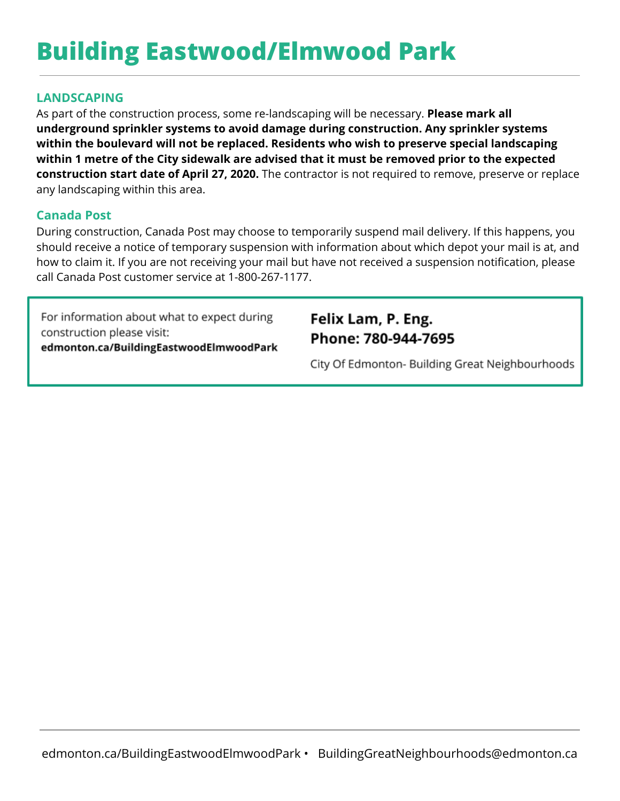# **Building Eastwood/Elmwood Park**

### **LANDSCAPING**

As part of the construction process, some re-landscaping will be necessary. **Please mark all underground sprinkler systems to avoid damage during construction. Any sprinkler systems within the boulevard will not be replaced. Residents who wish to preserve special landscaping within 1 metre of the City sidewalk are advised that it must be removed prior to the expected construction start date of April 27, 2020.** The contractor is not required to remove, preserve or replace any landscaping within this area.

### **Canada Post**

During construction, Canada Post may choose to temporarily suspend mail delivery. If this happens, you should receive a notice of temporary suspension with information about which depot your mail is at, and how to claim it. If you are not receiving your mail but have not received a suspension notification, please call Canada Post customer service at 1-800-267-1177.

For information about what to expect during construction please visit: edmonton.ca/BuildingEastwoodElmwoodPark

### Felix Lam, P. Eng. Phone: 780-944-7695

City Of Edmonton- Building Great Neighbourhoods